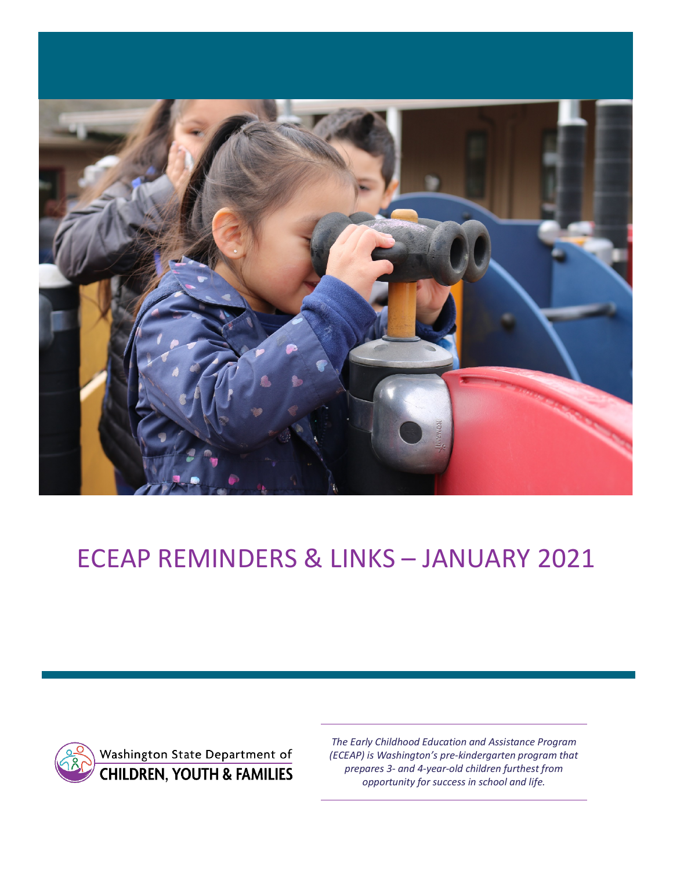

# ECEAP REMINDERS & LINKS – JANUARY 2021



*The Early Childhood Education and Assistance Program (ECEAP) is Washington's pre-kindergarten program that prepares 3- and 4-year-old children furthest from opportunity for success in school and life.*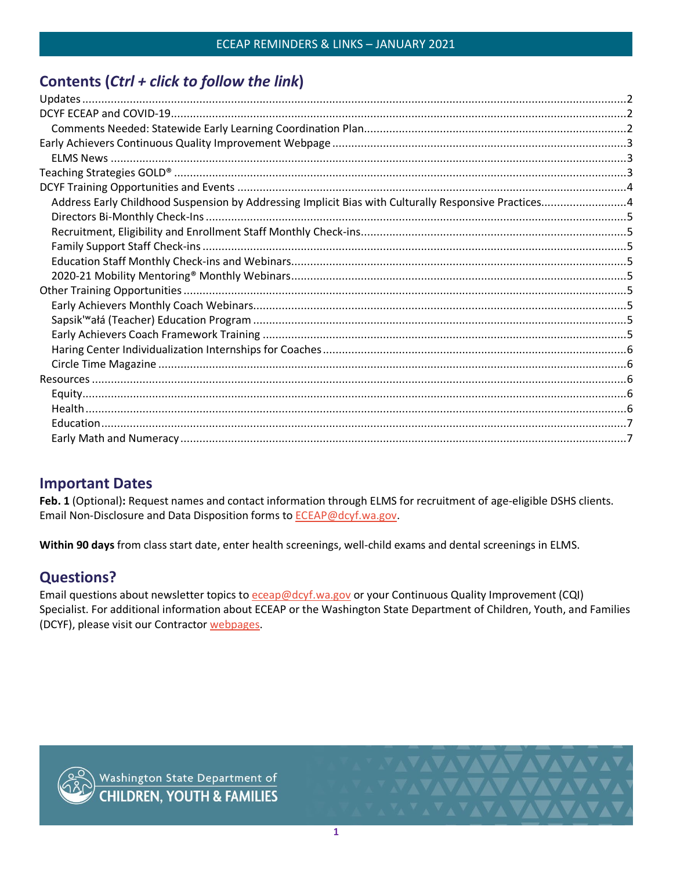# Contents (Ctrl + click to follow the link)

| Address Early Childhood Suspension by Addressing Implicit Bias with Culturally Responsive Practices4 |  |
|------------------------------------------------------------------------------------------------------|--|
|                                                                                                      |  |
|                                                                                                      |  |
|                                                                                                      |  |
|                                                                                                      |  |
|                                                                                                      |  |
|                                                                                                      |  |
|                                                                                                      |  |
|                                                                                                      |  |
|                                                                                                      |  |
|                                                                                                      |  |
|                                                                                                      |  |
|                                                                                                      |  |
|                                                                                                      |  |
|                                                                                                      |  |
|                                                                                                      |  |
|                                                                                                      |  |
|                                                                                                      |  |

# **Important Dates**

Feb. 1 (Optional): Request names and contact information through ELMS for recruitment of age-eligible DSHS clients. Email Non-Disclosure and Data Disposition forms to ECEAP@dcyf.wa.gov.

Within 90 days from class start date, enter health screenings, well-child exams and dental screenings in ELMS.

# **Questions?**

Email questions about newsletter topics to eceap@dcyf.wa.gov or your Continuous Quality Improvement (CQI) Specialist. For additional information about ECEAP or the Washington State Department of Children, Youth, and Families (DCYF), please visit our Contractor webpages.

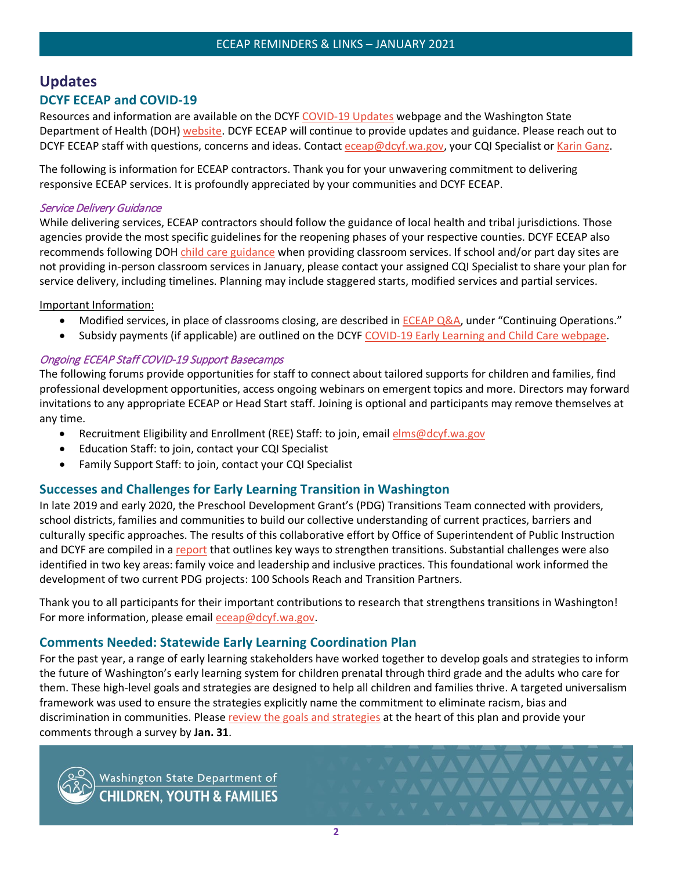# <span id="page-2-1"></span><span id="page-2-0"></span>**Updates DCYF ECEAP and COVID-19**

Resources and information are available on the DCYF [COVID-19 Updates](https://dcyf.wa.gov/coronavirus-covid-19) webpage and the Washington State Department of Health (DOH) [website.](https://www.doh.wa.gov/Emergencies/COVID19) DCYF ECEAP will continue to provide updates and guidance. Please reach out to DCYF ECEAP staff with questions, concerns and ideas. Contact [eceap@dcyf.wa.gov,](mailto:eceap@dcyf.wa.gov) your CQI Specialist or [Karin Ganz.](mailto:karin.ganz@dcyf.wa.gov)

The following is information for ECEAP contractors. Thank you for your unwavering commitment to delivering responsive ECEAP services. It is profoundly appreciated by your communities and DCYF ECEAP.

#### Service Delivery Guidance

While delivering services, ECEAP contractors should follow the guidance of local health and tribal jurisdictions. Those agencies provide the most specific guidelines for the reopening phases of your respective counties. DCYF ECEAP also recommends following DOH [child care guidance](https://www.doh.wa.gov/Portals/1/Documents/1600/coronavirus/DOH-OSPI-DYCF-SchoolsChildCareGuidance.pdf) when providing classroom services. If school and/or part day sites are not providing in-person classroom services in January, please contact your assigned CQI Specialist to share your plan for service delivery, including timelines. Planning may include staggered starts, modified services and partial services.

#### Important Information:

- Modified services, in place of classrooms closing, are described in **ECEAP Q&A**, under "Continuing Operations."
- Subsidy payments (if applicable) are outlined on the DCYF [COVID-19 Early Learning and Child Care webpage.](https://www.dcyf.wa.gov/coronavirus-covid-19/early-learning)

#### Ongoing ECEAP Staff COVID-19 Support Basecamps

The following forums provide opportunities for staff to connect about tailored supports for children and families, find professional development opportunities, access ongoing webinars on emergent topics and more. Directors may forward invitations to any appropriate ECEAP or Head Start staff. Joining is optional and participants may remove themselves at any time.

- Recruitment Eligibility and Enrollment (REE) Staff: to join, email [elms@dcyf.wa.gov](mailto:elms@dcyf.wa.gov)
- Education Staff: to join, contact your CQI Specialist
- Family Support Staff: to join, contact your CQI Specialist

# **Successes and Challenges for Early Learning Transition in Washington**

In late 2019 and early 2020, the Preschool Development Grant's (PDG) Transitions Team connected with providers, school districts, families and communities to build our collective understanding of current practices, barriers and culturally specific approaches. The results of this collaborative effort by Office of Superintendent of Public Instruction and DCYF are compiled in a [report](https://www.dcyf.wa.gov/sites/default/files/pubs/EL_0018.pdf) that outlines key ways to strengthen transitions. Substantial challenges were also identified in two key areas: family voice and leadership and inclusive practices. This foundational work informed the development of two current PDG projects: 100 Schools Reach and Transition Partners.

Thank you to all participants for their important contributions to research that strengthens transitions in Washington! For more information, please email [eceap@dcyf.wa.gov.](mailto:eceap@dcyf.wa.gov)

# <span id="page-2-2"></span>**Comments Needed: Statewide Early Learning Coordination Plan**

For the past year, a range of early learning stakeholders have worked together to develop goals and strategies to inform the future of Washington's early learning system for children prenatal through third grade and the adults who care for them. These high-level goals and strategies are designed to help all children and families thrive. A targeted universalism framework was used to ensure the strategies explicitly name the commitment to eliminate racism, bias and discrimination in communities. Pleas[e review the goals and strategies](https://dcyf.wa.gov/news/comments-needed-statewide-early-learning-coordination-plan) at the heart of this plan and provide your comments through a survey by **Jan. 31**.



Washington State Department of<br>CHILDREN, YOUTH & FAMILIES

<u>YAYAYAYAYA MA</u>

**MAYAVAVAVAV**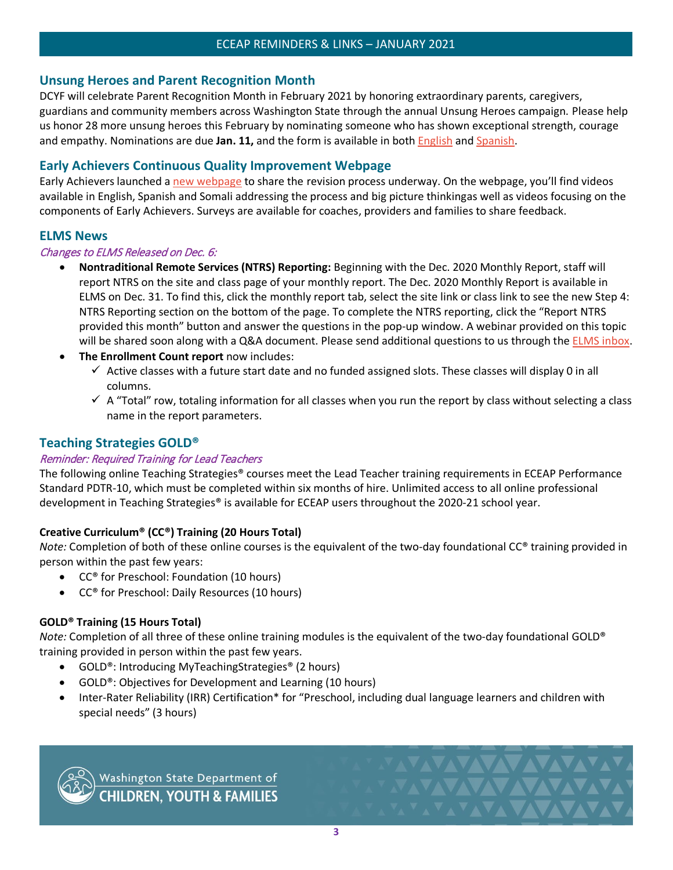# **Unsung Heroes and Parent Recognition Month**

DCYF will celebrate Parent Recognition Month in February 2021 by honoring extraordinary parents, caregivers, guardians and community members across Washington State through the annual Unsung Heroes campaign. Please help us honor 28 more unsung heroes this February by nominating someone who has shown exceptional strength, courage and empathy. Nominations are due **Jan. 11,** and the form is available in both [English](https://gcc02.safelinks.protection.outlook.com/?url=https%3A%2F%2Fcontent.govdelivery.com%2Fattachments%2FWADEL%2F2020%2F11%2F18%2Ffile_attachments%2F1605814%2FUnsung%2520Hero%2520Award%2520Nomination_English.docx&data=04%7C01%7Cemily.boone%40dcyf.wa.gov%7Ccb5632a5605e422045bf08d88cc947b7%7C11d0e217264e400a8ba057dcc127d72d%7C0%7C1%7C637414144560661463%7CUnknown%7CTWFpbGZsb3d8eyJWIjoiMC4wLjAwMDAiLCJQIjoiV2luMzIiLCJBTiI6Ik1haWwiLCJXVCI6Mn0%3D%7C1000&sdata=WfslEm5ZOsxvnyEGSnvhB%2FoJibtVHffulscuhmPnf98%3D&reserved=0) an[d Spanish.](https://gcc02.safelinks.protection.outlook.com/?url=https%3A%2F%2Fcontent.govdelivery.com%2Fattachments%2FWADEL%2F2020%2F11%2F18%2Ffile_attachments%2F1605815%2FUnsung%2520Hero%2520Award%2520Nomination_Spanish.docx&data=04%7C01%7Cemily.boone%40dcyf.wa.gov%7Ccb5632a5605e422045bf08d88cc947b7%7C11d0e217264e400a8ba057dcc127d72d%7C0%7C1%7C637414144560671419%7CUnknown%7CTWFpbGZsb3d8eyJWIjoiMC4wLjAwMDAiLCJQIjoiV2luMzIiLCJBTiI6Ik1haWwiLCJXVCI6Mn0%3D%7C1000&sdata=M%2FYxFQm9GFNfX8A8K2vMLfLz1IvOb9l4F6f3NIzEIPY%3D&reserved=0)

# <span id="page-3-0"></span>**Early Achievers Continuous Quality Improvement Webpage**

Early Achievers launched [a new webpage](https://www.dcyf.wa.gov/services/early-learning-providers/early-achievers/cqi) to share the revision process underway. On the webpage, you'll find videos available in English, Spanish and Somali addressing the process and big picture thinkingas well as videos focusing on the components of Early Achievers. Surveys are available for coaches, providers and families to share feedback.

# <span id="page-3-1"></span>**ELMS News**

#### Changes to ELMS Released on Dec. 6:

- **Nontraditional Remote Services (NTRS) Reporting:** Beginning with the Dec. 2020 Monthly Report, staff will report NTRS on the site and class page of your monthly report. The Dec. 2020 Monthly Report is available in ELMS on Dec. 31. To find this, click the monthly report tab, select the site link or class link to see the new Step 4: NTRS Reporting section on the bottom of the page. To complete the NTRS reporting, click the "Report NTRS provided this month" button and answer the questions in the pop-up window. A webinar provided on this topic will be shared soon along with a Q&A document. Please send additional questions to us through the [ELMS inbox.](mailto:elms@dcyf.wa.gov)
- **The Enrollment Count report** now includes:
	- $\checkmark$  Active classes with a future start date and no funded assigned slots. These classes will display 0 in all columns.
	- $\checkmark$  A "Total" row, totaling information for all classes when you run the report by class without selecting a class name in the report parameters.

# <span id="page-3-2"></span>**Teaching Strategies GOLD®**

#### Reminder: Required Training for Lead Teachers

The following online Teaching Strategies® courses meet the Lead Teacher training requirements in ECEAP Performance Standard PDTR-10, which must be completed within six months of hire. Unlimited access to all online professional development in Teaching Strategies® is available for ECEAP users throughout the 2020-21 school year.

# **Creative Curriculum® (CC®) Training (20 Hours Total)**

*Note:* Completion of both of these online courses is the equivalent of the two-day foundational CC® training provided in person within the past few years:

- CC® for Preschool: Foundation (10 hours)
- CC® for Preschool: Daily Resources (10 hours)

# **GOLD® Training (15 Hours Total)**

*Note:* Completion of all three of these online training modules is the equivalent of the two-day foundational GOLD® training provided in person within the past few years.

- GOLD<sup>®</sup>: Introducing MyTeachingStrategies<sup>®</sup> (2 hours)
- GOLD®: Objectives for Development and Learning (10 hours)
- Inter-Rater Reliability (IRR) Certification\* for "Preschool, including dual language learners and children with special needs" (3 hours)



Washington State Department of<br>CHILDREN, YOUTH & FAMILIES

**VAVAVAVAVA**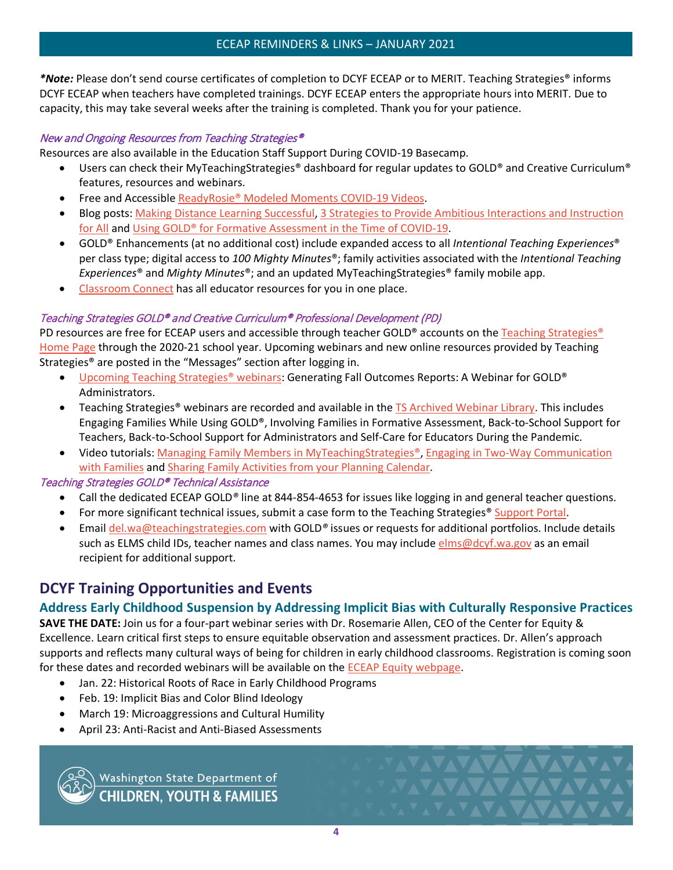*\*Note:* Please don't send course certificates of completion to DCYF ECEAP or to MERIT. Teaching Strategies® informs DCYF ECEAP when teachers have completed trainings. DCYF ECEAP enters the appropriate hours into MERIT. Due to capacity, this may take several weeks after the training is completed. Thank you for your patience.

# New and Ongoing Resources from Teaching Strategies®

Resources are also available in the Education Staff Support During COVID-19 Basecamp.

- Users can check their MyTeachingStrategies® dashboard for regular updates to GOLD® and Creative Curriculum® features, resources and webinars.
- Free and Accessible [ReadyRosie® Modeled Moments COVID-19 Videos.](https://teachingstrategies.com/blog/covid-19-modeled-moments/?mkt_tok=eyJpIjoiWkRaak5UUXlORGhtWWpobCIsInQiOiJ1N0U2cHh1dng3WWhsejNSMmhoTmFwbDhCVXFGeWk5RjB5Z1VxdlNXeWxhNHJjK0lNZjVQMWV5SGVTMkNSbjgyaW9sVlkwRmJiczA2WExVek9qSTB0cGRXMXZHUVwvXC8yOFwvQkFTaVZXdENnK3Nvd1hIYUl5ckliN1lBeUdzeGZ2ViJ9)
- Blog posts: [Making Distance Learning Successful,](https://teachingstrategies.com/blog/distance-learning-successful/) [3 Strategies to Provide Ambitious Interactions and Instruction](https://teachingstrategies.com/blog/ambitious-interactions-and-instruction/)  [for All](https://teachingstrategies.com/blog/ambitious-interactions-and-instruction/) and [Using GOLD® for Formative Assessment in the Time of COVID-19.](https://teachingstrategies.com/blog/using-gold-for-formative-assessment/)
- GOLD® Enhancements (at no additional cost) include expanded access to all *Intentional Teaching Experiences*® per class type; digital access to *100 Mighty Minutes*®; family activities associated with the *Intentional Teaching Experiences*® and *Mighty Minutes*®; and an updated MyTeachingStrategies® family mobile app.
- [Classroom Connect](https://teachingstrategies.com/classroom-connect/?utm_medium=email&utm_source=marketo&utm_campaign=covid19+communications&utm_content=em3-txt-link&utm_term=classroom-connect&mkt_tok=eyJpIjoiT1dFeVpHRXlPVGRqT1RVMCIsInQiOiJmM1lkY0ZuVVA3YVBGbk5zaW0zSWJ6enhnenBJWk8yXC83R0FZTDhTRmEzTXBZSzNYUndLVEUwWk9SNWpzUzZcL2tsOVwvemI2N3ZhZVUxa21teU1pajAxeDlrTkZ5S21cLzFpTlNsajlsbVV6QllsbFgzc2JOR2dcL256S2tmS3Y4SE02In0%3D) has all educator resources for you in one place.

# Teaching Strategies GOLD® and Creative Curriculum® Professional Development (PD)

PD resources are free for ECEAP users and accessible through teacher GOLD® accounts on the [Teaching Strategies®](https://teachingstrategies.com/) [Home Page](https://teachingstrategies.com/) through the 2020-21 school year. Upcoming webinars and new online resources provided by Teaching Strategies® are posted in the "Messages" section after logging in.

- [Upcoming Teaching Strategies®](https://teachingstrategies.force.com/portal/s/webinars) webinars: Generating Fall Outcomes Reports: A Webinar for GOLD® Administrators.
- Teaching Strategies® webinars are recorded and available in the [TS Archived Webinar Library.](https://teachingstrategies.force.com/portal/s/webinars) This includes Engaging Families While Using GOLD®, Involving Families in Formative Assessment, Back-to-School Support for Teachers, Back-to-School Support for Administrators and Self-Care for Educators During the Pandemic.
- Video tutorials: [Managing Family Members in MyTeachingStrategies®,](https://teachingstrategies.force.com/portal/s/article/Video-Managing-Family-Members-in-MyTeachingStrategies?mkt_tok=eyJpIjoiT0dRNU5EWmxNVE5pTUdZNCIsInQiOiI0MDBFc2paY1NEclJsOFBNS3FpODFvWVcyakRLMVd1UTV1QXlKdFZwMHBENk1ERUlpVGFxSk9UWHJNMnArT1JJSE4xejBtZ3R4Mzd6R0d4YWFjazJ2bkRFc1dRTGJaaTJJaWNIaW9KOGhIcjdmQStHekFNWWRkQUZINlhpZkJaNSJ9) [Engaging in Two-Way Communication](https://teachingstrategies.force.com/portal/s/article/Video-Engaging-in-Two-Way-Communication-with-Families?mkt_tok=eyJpIjoiT0dRNU5EWmxNVE5pTUdZNCIsInQiOiI0MDBFc2paY1NEclJsOFBNS3FpODFvWVcyakRLMVd1UTV1QXlKdFZwMHBENk1ERUlpVGFxSk9UWHJNMnArT1JJSE4xejBtZ3R4Mzd6R0d4YWFjazJ2bkRFc1dRTGJaaTJJaWNIaW9KOGhIcjdmQStHekFNWWRkQUZINlhpZkJaNSJ9)  [with Families](https://teachingstrategies.force.com/portal/s/article/Video-Engaging-in-Two-Way-Communication-with-Families?mkt_tok=eyJpIjoiT0dRNU5EWmxNVE5pTUdZNCIsInQiOiI0MDBFc2paY1NEclJsOFBNS3FpODFvWVcyakRLMVd1UTV1QXlKdFZwMHBENk1ERUlpVGFxSk9UWHJNMnArT1JJSE4xejBtZ3R4Mzd6R0d4YWFjazJ2bkRFc1dRTGJaaTJJaWNIaW9KOGhIcjdmQStHekFNWWRkQUZINlhpZkJaNSJ9) an[d Sharing Family Activities from your Planning Calendar.](https://teachingstrategies.force.com/portal/s/article/Video-Sharing-Family-Activities-from-Your-Planning-Calendar?mkt_tok=eyJpIjoiT0dRNU5EWmxNVE5pTUdZNCIsInQiOiI0MDBFc2paY1NEclJsOFBNS3FpODFvWVcyakRLMVd1UTV1QXlKdFZwMHBENk1ERUlpVGFxSk9UWHJNMnArT1JJSE4xejBtZ3R4Mzd6R0d4YWFjazJ2bkRFc1dRTGJaaTJJaWNIaW9KOGhIcjdmQStHekFNWWRkQUZINlhpZkJaNSJ9)

# Teaching Strategies GOLD® Technical Assistance

- Call the dedicated ECEAP GOLD*®* line at 844-854-4653 for issues like logging in and general teacher questions.
- For more significant technical issues, submit a case form to the Teaching Strategies® [Support Portal.](https://teachingstrategies.force.com/portal/s/submit-a-case)
- Email [del.wa@teachingstrategies.com](mailto:del.wa@teachingstrategies.com) with GOLD*®* issues or requests for additional portfolios. Include details such as ELMS child IDs, teacher names and class names. You may include [elms@dcyf.wa.gov](mailto:elms@dcyf.wa.gov) as an email recipient for additional support.

# <span id="page-4-0"></span>**DCYF Training Opportunities and Events**

# <span id="page-4-1"></span>**Address Early Childhood Suspension by Addressing Implicit Bias with Culturally Responsive Practices**

**SAVE THE DATE:** Join us for a four-part webinar series with Dr. Rosemarie Allen, CEO of the Center for Equity & Excellence. Learn critical first steps to ensure equitable observation and assessment practices. Dr. Allen's approach supports and reflects many cultural ways of being for children in early childhood classrooms. Registration is coming soon for these dates and recorded webinars will be available on the [ECEAP Equity webpage.](https://www.dcyf.wa.gov/services/early-learning-providers/eceap/equity)

- Jan. 22: Historical Roots of Race in Early Childhood Programs
- Feb. 19: Implicit Bias and Color Blind Ideology
- March 19: Microaggressions and Cultural Humility
- April 23: Anti-Racist and Anti-Biased Assessments

Washington State Department of<br>CHILDREN, YOUTH & FAMILIES

**NAZIVALAZIONE** 

**XAVAVAVAVAVA**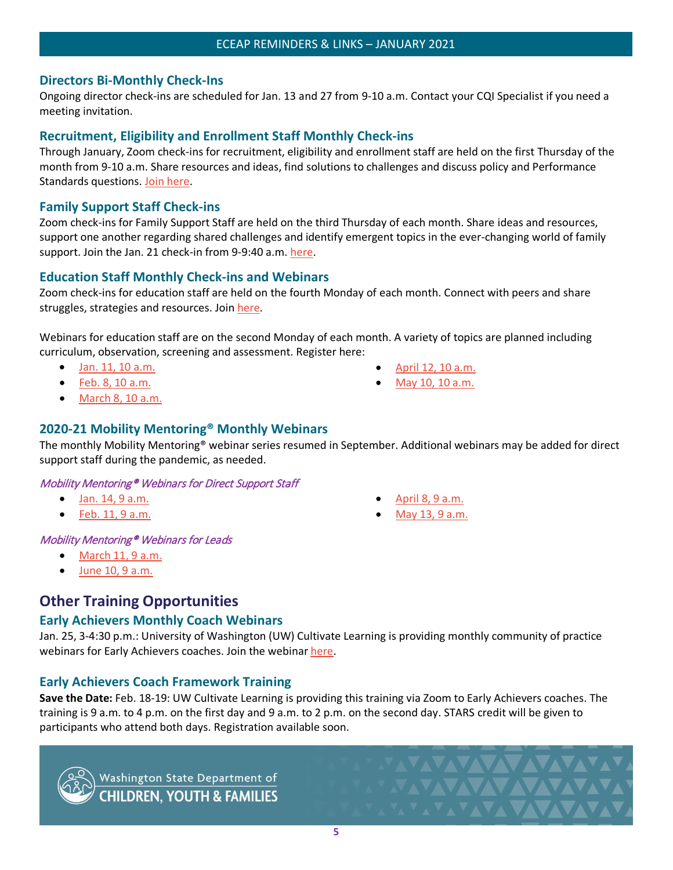# <span id="page-5-0"></span>**Directors Bi-Monthly Check-Ins**

Ongoing director check-ins are scheduled for Jan. 13 and 27 from 9-10 a.m. Contact your CQI Specialist if you need a meeting invitation.

# <span id="page-5-1"></span>**Recruitment, Eligibility and Enrollment Staff Monthly Check-ins**

Through January, Zoom check-ins for recruitment, eligibility and enrollment staff are held on the first Thursday of the month from 9-10 a.m. Share resources and ideas, find solutions to challenges and discuss policy and Performance Standards questions. [Join here.](https://dcyf.zoom.us/j/82813244358?pwd=ZnFBMGh1UndkTnpYVmFiRjB3NktVZz09)

# <span id="page-5-2"></span>**Family Support Staff Check-ins**

Zoom check-ins for Family Support Staff are held on the third Thursday of each month. Share ideas and resources, support one another regarding shared challenges and identify emergent topics in the ever-changing world of family support. Join the Jan. 21 check-in from 9-9:40 a.m. [here.](https://dcyf.zoom.us/j/94143055059?pwd=enJXaC9zcTNFaytnS3h6dVVWeUEzQT09)

# <span id="page-5-3"></span>**Education Staff Monthly Check-ins and Webinars**

Zoom check-ins for education staff are held on the fourth Monday of each month. Connect with peers and share struggles, strategies and resources. Join [here.](https://dcyf.zoom.us/j/92705586444?pwd=STBSRGo0WnBsWC91ZmlMZC9kdzJGUT09)

Webinars for education staff are on the second Monday of each month. A variety of topics are planned including curriculum, observation, screening and assessment. Register here:

- Jan. [11, 10 a.m.](https://attendee.gotowebinar.com/rt/2002087937421033229)
- Feb. [8, 10 a.m.](https://attendee.gotowebinar.com/rt/2002087937421033229)
- March [8, 10 a.m.](https://attendee.gotowebinar.com/rt/2002087937421033229)

# <span id="page-5-4"></span>**2020-21 Mobility Mentoring® Monthly Webinars**

The monthly Mobility Mentoring® webinar series resumed in September. Additional webinars may be added for direct support staff during the pandemic, as needed.

#### Mobility Mentoring® Webinars for Direct Support Staff

- Jan. [14, 9 a.m.](https://attendee.gotowebinar.com/register/2507796215843829263)
- Feb. [11, 9 a.m.](https://attendee.gotowebinar.com/register/5177982194130429455)

• April [8, 9 a.m.](https://attendee.gotowebinar.com/register/5702908836440098063)

• [April 12, 10 a.m.](https://attendee.gotowebinar.com/rt/2002087937421033229) [May 10,](https://attendee.gotowebinar.com/rt/2002087937421033229) 10 a.m.

• [May 13, 9 a.m.](https://attendee.gotowebinar.com/register/1407197171068013583)

**VAVAVAVAVAV** 

# Mobility Mentoring® Webinars for Leads

- $\bullet$  March [11, 9 a.m.](https://attendee.gotowebinar.com/register/7752319346097447949)
- June [10, 9 a.m.](https://attendee.gotowebinar.com/register/8953468728929489677)

# <span id="page-5-5"></span>**Other Training Opportunities**

# <span id="page-5-6"></span>**Early Achievers Monthly Coach Webinars**

Jan. 25, 3-4:30 p.m.: University of Washington (UW) Cultivate Learning is providing monthly community of practice webinars for Early Achievers coaches. Join the webinar [here.](https://washington.zoom.us/j/99495653767)

# <span id="page-5-7"></span>**Early Achievers Coach Framework Training**

**Save the Date:** Feb. 18-19: UW Cultivate Learning is providing this training via Zoom to Early Achievers coaches. The training is 9 a.m. to 4 p.m. on the first day and 9 a.m. to 2 p.m. on the second day. STARS credit will be given to participants who attend both days. Registration available soon.



Washington State Department of<br>CHILDREN, YOUTH & FAMILIES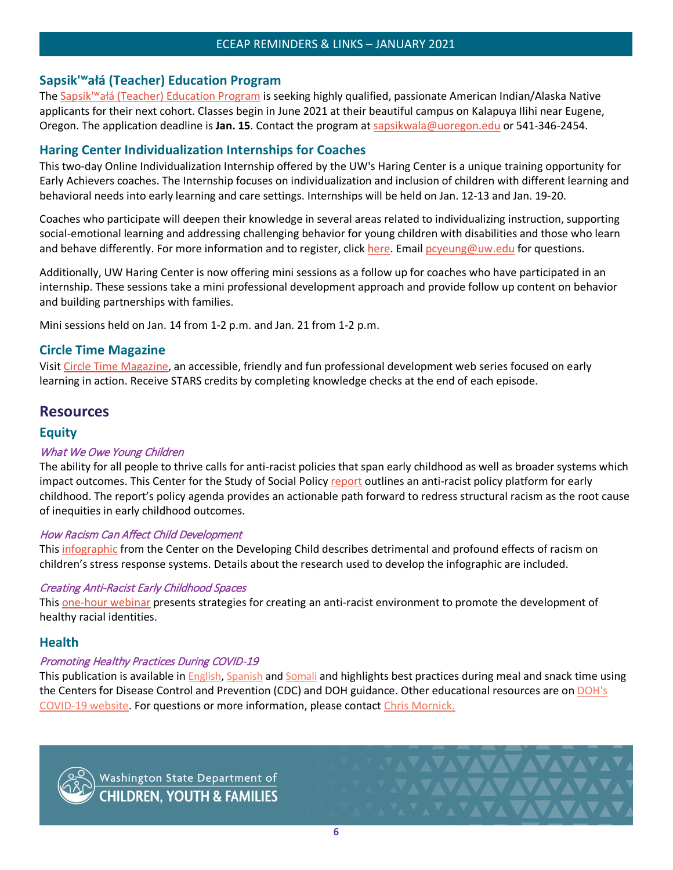#### ECEAP REMINDERS & LINKS – JANUARY 2021

# **Sapsik'ʷałá (Teacher) Education Program**

The Sapsik'<sup>w</sup>ałá (Teacher) Education Program is seeking highly qualified, passionate American Indian/Alaska Native applicants for their next cohort. Classes begin in June 2021 at their beautiful campus on Kalapuya Ilihi near Eugene, Oregon. The application deadline is **Jan. 15**. Contact the program at [sapsikwala@uoregon.edu](mailto:sapsikwala@uoregon.edu) or 541-346-2454.

# <span id="page-6-0"></span>**Haring Center Individualization Internships for Coaches**

This two-day Online Individualization Internship offered by the UW's Haring Center is a unique training opportunity for Early Achievers coaches. The Internship focuses on individualization and inclusion of children with different learning and behavioral needs into early learning and care settings. Internships will be held on Jan. 12-13 and Jan. 19-20.

Coaches who participate will deepen their knowledge in several areas related to individualizing instruction, supporting social-emotional learning and addressing challenging behavior for young children with disabilities and those who learn and behave differently. For more information and to register, clic[k here.](https://docs.google.com/forms/d/e/1FAIpQLScTMxGFeBdbGj5lUvawPeKz4kRYM8Fu4WZPwdzVD-oTrdmulA/viewform?usp=sf_link) Email [pcyeung@uw.edu](mailto:pcyeung@uw.edu) for questions.

Additionally, UW Haring Center is now offering mini sessions as a follow up for coaches who have participated in an internship. These sessions take a mini professional development approach and provide follow up content on behavior and building partnerships with families.

Mini sessions held on Jan. 14 from 1-2 p.m. and Jan. 21 from 1-2 p.m.

# <span id="page-6-1"></span>**Circle Time Magazine**

Visit [Circle Time Magazine,](https://cultivatelearning.uw.edu/circle-time-magazine/) an accessible, friendly and fun professional development web series focused on early learning in action. Receive STARS credits by completing knowledge checks at the end of each episode.

# <span id="page-6-2"></span>**Resources**

# <span id="page-6-3"></span>**Equity**

# What We Owe Young Children

The ability for all people to thrive calls for anti-racist policies that span early childhood as well as broader systems which impact outcomes. This Center for the Study of Social Policy [report](https://cssp.org/wp-content/uploads/2020/12/What-We-Owe-Young-Children.pdf) outlines an anti-racist policy platform for early childhood. The report's policy agenda provides an actionable path forward to redress structural racism as the root cause of inequities in early childhood outcomes.

#### How Racism Can Affect Child Development

This [infographic](https://developingchild.harvard.edu/resources/racism-and-ecd/) from the Center on the Developing Child describes detrimental and profound effects of racism on children's stress response systems. Details about the research used to develop the infographic are included.

#### Creating Anti-Racist Early Childhood Spaces

This [one-hour webinar](https://challengingbehavior.cbcs.usf.edu/Training/Webinar/archive/2020/06-12/2020-06-12_creating-anti-racist-ec-spaces.html) presents strategies for creating an anti-racist environment to promote the development of healthy racial identities.

# <span id="page-6-4"></span>**Health**

# Promoting Healthy Practices During COVID-19

This publication is available in [English,](https://lnks.gd/l/eyJhbGciOiJIUzI1NiJ9.eyJidWxsZXRpbl9saW5rX2lkIjoxMDUsInVyaSI6ImJwMjpjbGljayIsImJ1bGxldGluX2lkIjoiMjAyMDA5MDguMjY3NzY5OTEiLCJ1cmwiOiJodHRwczovL3d3dy5kb2gud2EuZ292L1BvcnRhbHMvMS9Eb2N1bWVudHMvMTYwMC9jb3JvbmF2aXJ1cy9Qcm9tb3RpbmdIZWFsdGh5UHJhY3RpY2VzZHVyaW5nQ09WSUQtMTlNZWFsc2FuZFNuYWNrcy5wZGYifQ.UpopcAUehAKhj0CMFxAG4Sqyaotkmz-erk_EGJMVxIg/s/933330012/br/83360815276-l) [Spanish](https://lnks.gd/l/eyJhbGciOiJIUzI1NiJ9.eyJidWxsZXRpbl9saW5rX2lkIjoxMDYsInVyaSI6ImJwMjpjbGljayIsImJ1bGxldGluX2lkIjoiMjAyMDA5MDguMjY3NzY5OTEiLCJ1cmwiOiJodHRwczovL3d3dy5kb2gud2EuZ292L1BvcnRhbHMvMS9Eb2N1bWVudHMvMTYwMC9jb3JvbmF2aXJ1cy9Qcm9tb3RpbmdIZWFsdGh5UHJhY3RpY2VzZHVyaW5nQ09WSUQtMTlNZWFscyUyMGFuZCUyMFNuYWNrcy1TcGFuaXNoLnBkZiJ9.g0grIZeq9iVIOHKtlLlsRUqybJfG9nEXxcMSXVivshs/s/933330012/br/83360815276-l) and [Somali](https://lnks.gd/l/eyJhbGciOiJIUzI1NiJ9.eyJidWxsZXRpbl9saW5rX2lkIjoxMDcsInVyaSI6ImJwMjpjbGljayIsImJ1bGxldGluX2lkIjoiMjAyMDA5MDguMjY3NzY5OTEiLCJ1cmwiOiJodHRwczovL3d3dy5kb2gud2EuZ292L1BvcnRhbHMvMS9Eb2N1bWVudHMvMTYwMC9jb3JvbmF2aXJ1cy9Qcm9tb3RpbmdIZWFsdGh5UHJhY3RpY2VzZHVyaW5nQ09WSUQtMTlNZWFsc2FuZFNuYWNrcy1Tb21hbGkucGRmIn0.CCssfZfRyHHkcZ2r_BwS8wYqKCGYNQ0Oqb99cLBjvXY/s/933330012/br/83360815276-l) and highlights best practices during meal and snack time using the Centers for Disease Control and Prevention (CDC) and DOH guidance. Other educational resources are on [DOH's](https://lnks.gd/l/eyJhbGciOiJIUzI1NiJ9.eyJidWxsZXRpbl9saW5rX2lkIjoxMDgsInVyaSI6ImJwMjpjbGljayIsImJ1bGxldGluX2lkIjoiMjAyMDA5MDguMjY3NzY5OTEiLCJ1cmwiOiJodHRwczovL3d3dy5kb2gud2EuZ292L0VtZXJnZW5jaWVzL0NPVklEMTkifQ.vpwHRdcBY8IPlWG4tcA65kbKcDusGxGSxJ7eUrMCNUk/s/933330012/br/83360815276-l)  [COVID-19 website.](https://lnks.gd/l/eyJhbGciOiJIUzI1NiJ9.eyJidWxsZXRpbl9saW5rX2lkIjoxMDgsInVyaSI6ImJwMjpjbGljayIsImJ1bGxldGluX2lkIjoiMjAyMDA5MDguMjY3NzY5OTEiLCJ1cmwiOiJodHRwczovL3d3dy5kb2gud2EuZ292L0VtZXJnZW5jaWVzL0NPVklEMTkifQ.vpwHRdcBY8IPlWG4tcA65kbKcDusGxGSxJ7eUrMCNUk/s/933330012/br/83360815276-l) For questions or more information, please contact [Chris Mornick.](mailto:chris.mornick@doh.wa.gov)



Washington State Department of<br>CHILDREN, YOUTH & FAMILIES

**NAVAVAVAVA** 

**MAYAVAVAVAV**